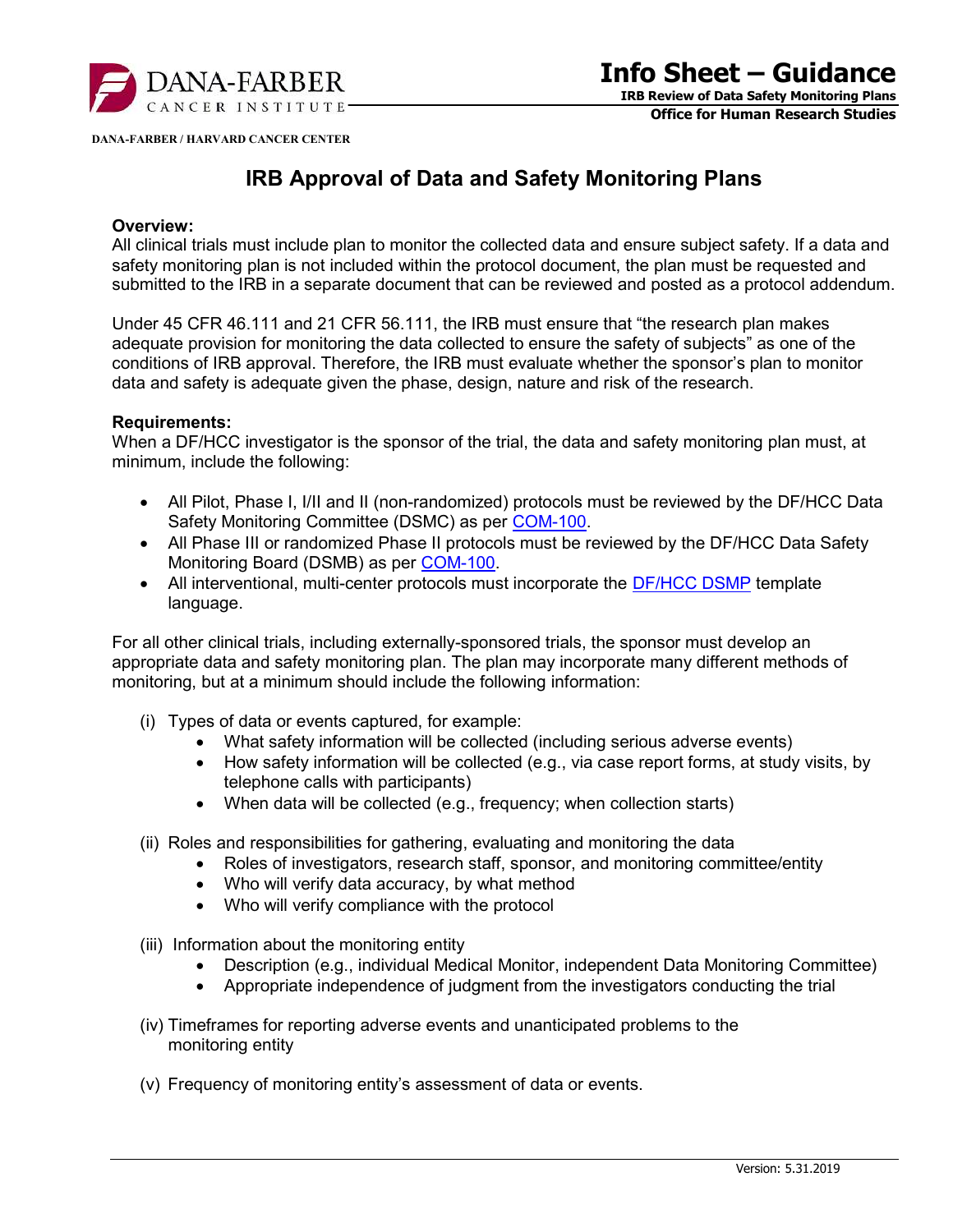

Office for Human Research Studies

DANA-FARBER / HARVARD CANCER CENTER

## IRB Approval of Data and Safety Monitoring Plans

## Overview:

All clinical trials must include plan to monitor the collected data and ensure subject safety. If a data and safety monitoring plan is not included within the protocol document, the plan must be requested and submitted to the IRB in a separate document that can be reviewed and posted as a protocol addendum.

Under 45 CFR 46.111 and 21 CFR 56.111, the IRB must ensure that "the research plan makes adequate provision for monitoring the data collected to ensure the safety of subjects" as one of the conditions of IRB approval. Therefore, the IRB must evaluate whether the sponsor's plan to monitor data and safety is adequate given the phase, design, nature and risk of the research.

## Requirements:

When a DF/HCC investigator is the sponsor of the trial, the data and safety monitoring plan must, at minimum, include the following:

- All Pilot, Phase I, I/II and II (non-randomized) protocols must be reviewed by the DF/HCC Data Safety Monitoring Committee (DSMC) as per COM-100.
- All Phase III or randomized Phase II protocols must be reviewed by the DF/HCC Data Safety Monitoring Board (DSMB) as per COM-100.
- All interventional, multi-center protocols must incorporate the **DF/HCC DSMP** template language.

For all other clinical trials, including externally-sponsored trials, the sponsor must develop an appropriate data and safety monitoring plan. The plan may incorporate many different methods of monitoring, but at a minimum should include the following information:

- (i) Types of data or events captured, for example:
	- What safety information will be collected (including serious adverse events)
	- How safety information will be collected (e.g., via case report forms, at study visits, by telephone calls with participants)
	- When data will be collected (e.g., frequency; when collection starts)
- (ii) Roles and responsibilities for gathering, evaluating and monitoring the data
	- Roles of investigators, research staff, sponsor, and monitoring committee/entity
	- Who will verify data accuracy, by what method
	- Who will verify compliance with the protocol
- (iii) Information about the monitoring entity
	- Description (e.g., individual Medical Monitor, independent Data Monitoring Committee)
	- Appropriate independence of judgment from the investigators conducting the trial
- (iv) Timeframes for reporting adverse events and unanticipated problems to the monitoring entity
- (v) Frequency of monitoring entity's assessment of data or events.